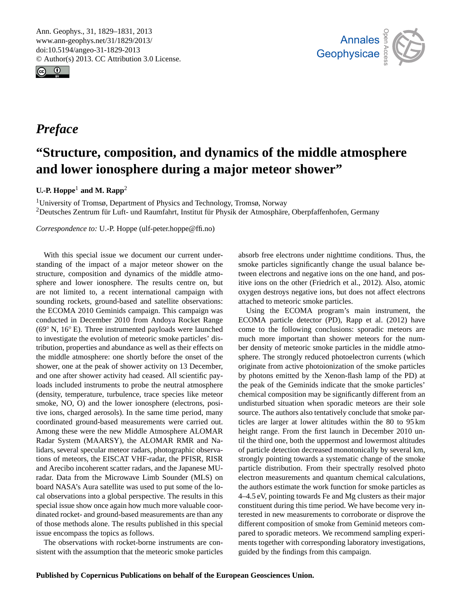<span id="page-0-0"></span>



## *Preface*

## **"Structure, composition, and dynamics of the middle atmosphere and lower ionosphere during a major meteor shower"**

## **U.-P. Hoppe<sup>1</sup> and M. Rapp<sup>2</sup>**

<sup>1</sup>University of Tromsø, Department of Physics and Technology, Tromsø, Norway <sup>2</sup>Deutsches Zentrum für Luft- und Raumfahrt, Institut für Physik der Atmosphäre, Oberpfaffenhofen, Germany

*Correspondence to:* U.-P. Hoppe (ulf-peter.hoppe@ffi.no)

With this special issue we document our current understanding of the impact of a major meteor shower on the structure, composition and dynamics of the middle atmosphere and lower ionosphere. The results centre on, but are not limited to, a recent international campaign with sounding rockets, ground-based and satellite observations: the ECOMA 2010 Geminids campaign. This campaign was conducted in December 2010 from Andoya Rocket Range (69◦ N, 16◦ E). Three instrumented payloads were launched to investigate the evolution of meteoric smoke particles' distribution, properties and abundance as well as their effects on the middle atmosphere: one shortly before the onset of the shower, one at the peak of shower activity on 13 December, and one after shower activity had ceased. All scientific payloads included instruments to probe the neutral atmosphere (density, temperature, turbulence, trace species like meteor smoke, NO, O) and the lower ionosphere (electrons, positive ions, charged aerosols). In the same time period, many coordinated ground-based measurements were carried out. Among these were the new Middle Atmosphere ALOMAR Radar System (MAARSY), the ALOMAR RMR and Nalidars, several specular meteor radars, photographic observations of meteors, the EISCAT VHF-radar, the PFISR, RISR and Arecibo incoherent scatter radars, and the Japanese MUradar. Data from the Microwave Limb Sounder (MLS) on board NASA's Aura satellite was used to put some of the local observations into a global perspective. The results in this special issue show once again how much more valuable coordinated rocket- and ground-based measurements are than any of those methods alone. The results published in this special issue encompass the topics as follows.

The observations with rocket-borne instruments are consistent with the assumption that the meteoric smoke particles absorb free electrons under nighttime conditions. Thus, the smoke particles significantly change the usual balance between electrons and negative ions on the one hand, and positive ions on the other (Friedrich et al., 2012). Also, atomic oxygen destroys negative ions, but does not affect electrons attached to meteoric smoke particles.

Using the ECOMA program's main instrument, the ECOMA particle detector (PD), Rapp et al. (2012) have come to the following conclusions: sporadic meteors are much more important than shower meteors for the number density of meteoric smoke particles in the middle atmosphere. The strongly reduced photoelectron currents (which originate from active photoionization of the smoke particles by photons emitted by the Xenon-flash lamp of the PD) at the peak of the Geminids indicate that the smoke particles' chemical composition may be significantly different from an undisturbed situation when sporadic meteors are their sole source. The authors also tentatively conclude that smoke particles are larger at lower altitudes within the 80 to 95 km height range. From the first launch in December 2010 until the third one, both the uppermost and lowermost altitudes of particle detection decreased monotonically by several km, strongly pointing towards a systematic change of the smoke particle distribution. From their spectrally resolved photo electron measurements and quantum chemical calculations, the authors estimate the work function for smoke particles as 4–4.5 eV, pointing towards Fe and Mg clusters as their major constituent during this time period. We have become very interested in new measurements to corroborate or disprove the different composition of smoke from Geminid meteors compared to sporadic meteors. We recommend sampling experiments together with corresponding laboratory investigations, guided by the findings from this campaign.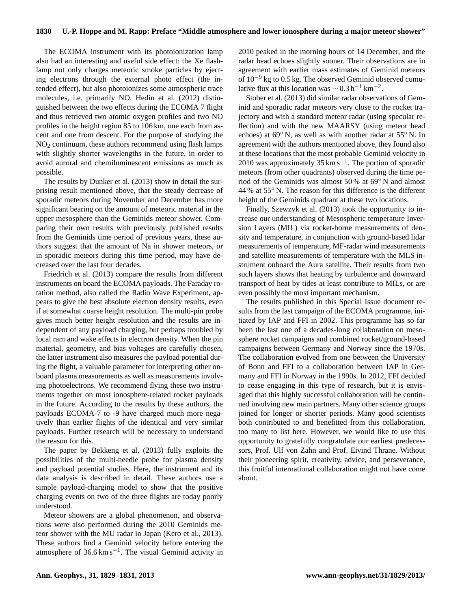The ECOMA instrument with its photoionization lamp also had an interesting and useful side effect: the Xe flashlamp not only charges meteoric smoke particles by ejecting electrons through the external photo effect (the intended effect), but also photoionizes some atmospheric trace molecules, i.e. primarily NO. Hedin et al. (2012) distinguished between the two effects during the ECOMA 7 flight and thus retrieved two atomic oxygen profiles and two NO profiles in the height region 85 to 106 km, one each from ascent and one from descent. For the purpose of studying the  $NO<sub>2</sub>$  continuum, these authors recommend using flash lamps with slightly shorter wavelengths in the future, in order to avoid auroral and chemiluminescent emissions as much as possible.

The results by Dunker et al. (2013) show in detail the surprising result mentioned above, that the steady decrease of sporadic meteors during November and December has more significant bearing on the amount of meteoric material in the upper mesosphere than the Geminids meteor shower. Comparing their own results with previously published results from the Geminids time period of previous years, these authors suggest that the amount of Na in shower meteors, or in sporadic meteors during this time period, may have decreased over the last four decades.

Friedrich et al. (2013) compare the results from different instruments on board the ECOMA payloads. The Faraday rotation method, also called the Radio Wave Experiment, appears to give the best absolute electron density results, even if at somewhat coarse height resolution. The multi-pin probe gives much better height resolution and the results are independent of any payload charging, but perhaps troubled by local ram and wake effects in electron density. When the pin material, geometry, and bias voltages are carefully chosen, the latter instrument also measures the payload potential during the flight, a valuable parameter for interpreting other onboard plasma measurements as well as measurements involving photoelectrons. We recommend flying these two instruments together on most ionosphere-related rocket payloads in the future. According to the results by these authors, the payloads ECOMA-7 to -9 have charged much more negatively than earlier flights of the identical and very similar payloads. Further research will be necessary to understand the reason for this.

The paper by Bekkeng et al. (2013) fully exploits the possibilities of the multi-needle probe for plasma density and payload potential studies. Here, the instrument and its data analysis is described in detail. These authors use a simple payload-charging model to show that the positive charging events on two of the three flights are today poorly understood.

Meteor showers are a global phenomenon, and observations were also performed during the 2010 Geminids meteor shower with the MU radar in Japan (Kero et al., 2013). These authors find a Geminid velocity before entering the atmosphere of 36.6 km s−<sup>1</sup> . The visual Geminid activity in

2010 peaked in the morning hours of 14 December, and the radar head echoes slightly sooner. Their observations are in agreement with earlier mass estimates of Geminid meteors of  $10^{-9}$  kg to 0.5 kg. The observed Geminid observed cumulative flux at this location was  $\sim 0.3 \text{ h}^{-1} \text{ km}^{-2}$ .

Stober et al. (2013) did similar radar observations of Geminid and sporadic radar meteors very close to the rocket trajectory and with a standard meteor radar (using specular reflection) and with the new MAARSY (using meteor head echoes) at 69◦ N, as well as with another radar at 55◦ N. In agreement with the authors mentioned above, they found also at these locations that the most probable Geminid velocity in 2010 was approximately 35 km s<sup>-1</sup>. The portion of sporadic meteors (from other quadrants) observed during the time period of the Geminids was almost 50 % at 69◦ N and almost 44 % at 55◦ N. The reason for this difference is the different height of the Geminids quadrant at these two locations.

Finally, Szewzyk et al. (2013) took the opportunity to increase our understanding of Mesospheric temperature Inversion Layers (MIL) via rocket-borne measurements of density and temperature, in conjunction with ground-based lidar measurements of temperature, MF-radar wind measurements and satellite measurements of temperature with the MLS instrument onboard the Aura satellite. Their results from two such layers shows that heating by turbulence and downward transport of heat by tides at least contribute to MILs, or are even possibly the most important mechanism.

The results published in this Special Issue document results from the last campaign of the ECOMA programme, initiated by IAP and FFI in 2002. This programme has so far been the last one of a decades-long collaboration on mesosphere rocket campaigns and combined rocket/ground-based campaigns between Germany and Norway since the 1970s. The collaboration evolved from one between the University of Bonn and FFI to a collaboration between IAP in Germany and FFI in Norway in the 1990s. In 2012, FFI decided to cease engaging in this type of research, but it is envisaged that this highly successful collaboration will be continued involving new main partners. Many other science groups joined for longer or shorter periods. Many good scientists both contributed to and benefitted from this collaboration, too many to list here. However, we would like to use this opportunity to gratefully congratulate our earliest predecessors, Prof. Ulf von Zahn and Prof. Eivind Thrane. Without their pioneering spirit, creativity, advice, and perseverance, this fruitful international collaboration might not have come about.